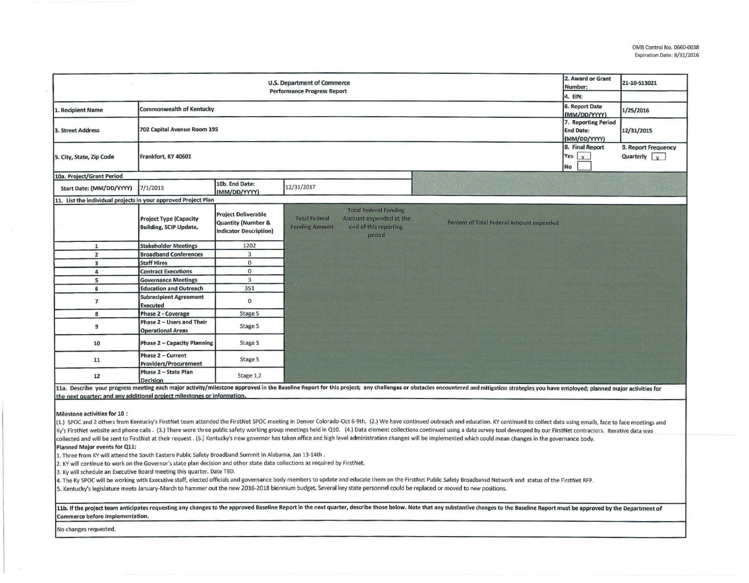|                                                                                                                                                                                                                                | 2. Award or Grant<br>Number:<br>4. EIN:                        | 21-10-S13021                                                                                 |                                                                                                                                                                                                                                |                                                         |                                             |  |  |  |
|--------------------------------------------------------------------------------------------------------------------------------------------------------------------------------------------------------------------------------|----------------------------------------------------------------|----------------------------------------------------------------------------------------------|--------------------------------------------------------------------------------------------------------------------------------------------------------------------------------------------------------------------------------|---------------------------------------------------------|---------------------------------------------|--|--|--|
| <b>Commonwealth of Kentucky</b><br>1. Recipient Name                                                                                                                                                                           | 6. Report Date<br>(MM/DD/YYYY)                                 | 1/25/2016                                                                                    |                                                                                                                                                                                                                                |                                                         |                                             |  |  |  |
| 3. Street Address                                                                                                                                                                                                              | 702 Capital Avenue Room 195                                    |                                                                                              |                                                                                                                                                                                                                                | 7. Reporting Period<br><b>End Date:</b><br>(MM/DD/YYYY) | 12/31/2015                                  |  |  |  |
| 5. City, State, Zip Code                                                                                                                                                                                                       | Frankfort, KY 40601                                            |                                                                                              |                                                                                                                                                                                                                                | 8. Final Report<br>Yes $\vert$ $\vert$ $\vert$<br>No    | 9. Report Frequency<br>Quarterly $\sqrt{y}$ |  |  |  |
| 10a. Project/Grant Period                                                                                                                                                                                                      |                                                                |                                                                                              |                                                                                                                                                                                                                                |                                                         |                                             |  |  |  |
| Start Date: (MM/DD/YYYY)                                                                                                                                                                                                       | 7/1/2013                                                       | 10b. End Date:<br>(MM/DD/YYYY)                                                               | 12/31/2017                                                                                                                                                                                                                     |                                                         |                                             |  |  |  |
| 11. List the individual projects in your approved Project Plan                                                                                                                                                                 |                                                                |                                                                                              |                                                                                                                                                                                                                                |                                                         |                                             |  |  |  |
|                                                                                                                                                                                                                                | <b>Project Type (Capacity</b><br><b>Building, SCIP Update,</b> | <b>Project Deliverable</b><br><b>Quantity (Number &amp;</b><br><b>Indicator Description)</b> | <b>Total Federal Funding</b><br><b>Total Federal</b><br>Amount expended at the<br>Percent of Total Federal Amount expended<br>end of this reporting<br><b>Funding Amount</b><br>period                                         |                                                         |                                             |  |  |  |
| $\mathbf{1}$                                                                                                                                                                                                                   | <b>Stakeholder Meetings</b>                                    | 1202                                                                                         |                                                                                                                                                                                                                                |                                                         |                                             |  |  |  |
| $\overline{2}$                                                                                                                                                                                                                 | <b>Broadband Conferences</b>                                   | $\overline{3}$                                                                               |                                                                                                                                                                                                                                |                                                         |                                             |  |  |  |
| $\overline{\mathbf{3}}$                                                                                                                                                                                                        | <b>Staff Hires</b>                                             | $\bf{0}$                                                                                     |                                                                                                                                                                                                                                |                                                         |                                             |  |  |  |
| $\overline{4}$                                                                                                                                                                                                                 | <b>Contract Executions</b>                                     | $\mathbf 0$                                                                                  |                                                                                                                                                                                                                                |                                                         |                                             |  |  |  |
| 5                                                                                                                                                                                                                              | <b>Governance Meetings</b>                                     | $\overline{3}$                                                                               |                                                                                                                                                                                                                                |                                                         |                                             |  |  |  |
| 6                                                                                                                                                                                                                              | <b>Education and Outreach</b>                                  | 351                                                                                          |                                                                                                                                                                                                                                |                                                         |                                             |  |  |  |
| $\overline{\phantom{a}}$                                                                                                                                                                                                       | <b>Subrecipient Agreement</b><br><b>Executed</b>               | $\mathbf 0$                                                                                  |                                                                                                                                                                                                                                |                                                         |                                             |  |  |  |
| 8                                                                                                                                                                                                                              | Phase 2 - Coverage                                             | Stage 5                                                                                      |                                                                                                                                                                                                                                |                                                         |                                             |  |  |  |
| 9                                                                                                                                                                                                                              | Phase 2 - Users and Their<br><b>Operational Areas</b>          | Stage 5                                                                                      |                                                                                                                                                                                                                                |                                                         |                                             |  |  |  |
| 10                                                                                                                                                                                                                             | <b>Phase 2 - Capacity Planning</b>                             | Stage 5                                                                                      |                                                                                                                                                                                                                                |                                                         |                                             |  |  |  |
| 11                                                                                                                                                                                                                             | Phase 2 - Current<br>Providers/Procurement                     | Stage 5                                                                                      |                                                                                                                                                                                                                                |                                                         |                                             |  |  |  |
| 12                                                                                                                                                                                                                             | Phase 2 - State Plan<br><b>Decision</b>                        | Stage 1,2                                                                                    |                                                                                                                                                                                                                                |                                                         |                                             |  |  |  |
|                                                                                                                                                                                                                                |                                                                |                                                                                              | 11a. Describe your progress meeting each major activity/milestone approved in the Baseline Report for this project; any challenges or obstacles encountered and mitigation strategies you have employed; planned major activit |                                                         |                                             |  |  |  |
| the next quarter; and any additional project milestones or information.                                                                                                                                                        |                                                                |                                                                                              |                                                                                                                                                                                                                                |                                                         |                                             |  |  |  |
| <b>Milestone activities for 10:</b>                                                                                                                                                                                            |                                                                |                                                                                              |                                                                                                                                                                                                                                |                                                         |                                             |  |  |  |
| (1.) SPOC and 2 others from Kentucky's FirstNet team attended the FirstNet SPOC meeting in Denver Colorado-Oct 6-9th. (2.) We have continued outreach and education. KY continued to collect data using emails, face to face m |                                                                |                                                                                              |                                                                                                                                                                                                                                |                                                         |                                             |  |  |  |
| Ky's FirstNet website and phone calls. (3.) There were three public safety working group meetings held in Q10. (4.) Data element collections continued using a data survey tool deveoped by our FirstNet contractors. Iterativ |                                                                |                                                                                              |                                                                                                                                                                                                                                |                                                         |                                             |  |  |  |
| collected and will be sent to FirstNet at their request. (5.) Kentucky's new governor has taken office and high level administration changes will be implemented which could mean changes in the governance body.              |                                                                |                                                                                              |                                                                                                                                                                                                                                |                                                         |                                             |  |  |  |
| <b>Planned Major events for Q11:</b><br>1. Three from KY will attend the South Eastern Public Safety Broadband Summit in Alabama, Jan 13-14th.                                                                                 |                                                                |                                                                                              |                                                                                                                                                                                                                                |                                                         |                                             |  |  |  |
| 2. KY will continue to work on the Governor's state plan decision and other state data collections as required by FirstNet.                                                                                                    |                                                                |                                                                                              |                                                                                                                                                                                                                                |                                                         |                                             |  |  |  |
| 3. Ky will schedule an Executive Board meeting this quarter. Date TBD.                                                                                                                                                         |                                                                |                                                                                              |                                                                                                                                                                                                                                |                                                         |                                             |  |  |  |
| 4. The Ky SPOC will be working with Executive staff, elected officials and governance body members to update and educate them on the FirstNet Public Safety Broadbansd Network and status of the FirstNet RFP.                 |                                                                |                                                                                              |                                                                                                                                                                                                                                |                                                         |                                             |  |  |  |
| 5. Kentucky's legislature meets January-March to hammer out the new 2016-2018 biennium budget. Several key state personnel could be replaced or moved to new positions.                                                        |                                                                |                                                                                              |                                                                                                                                                                                                                                |                                                         |                                             |  |  |  |

11b. If the project team anticipates requesting any changes to the approved Baseline Report in the next quarter, describe those below. Note that any substantive changes to the Baseline Report must be approved by the Depart Commerce before implementation.

No changes requested.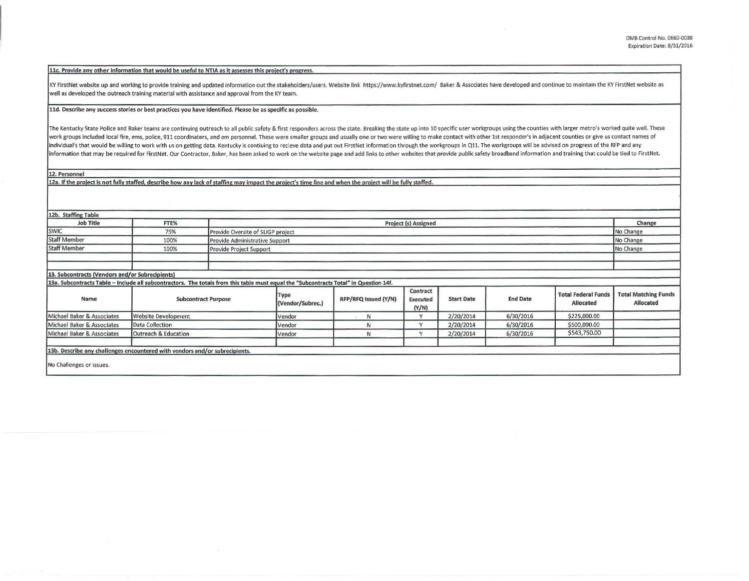## 11c. Provide any other information that would be useful to NTIA as it assesses this project's progress.

KY FirstNet website up and working to provide training and updated information out the stakeholders/users. Website link https://www.kyfirstnet.com/ Baker & Associates have developed and continue to maintain the KY FirstNet well as developed the outreach training material with assistance and approval from the KY team.

## 11d. Describe any success stories or best practices you have identified. Please be as specific as possible.

The Kentucky State Police and Baker teams are continuing outreach to all public safety & first responders across the state. Breaking the state up into 10 specific user workgroups using the counties with larger metro's work work groups included local fire, ems, police, 911 coordinaters, and em personnel. These were smaller groups and usually one or two were willing to make contact with other 1st responder's in adjacent counties or give us con individual's that would be willing to work with us on getting data. Kentucky is contiuing to recieve data and put out FirstNet information through the workgroups in Q11. The workgroups will be advised on progress of the RF information that may be required for FirstNet. Our Contractor, Baker, has been asked to work on the website page and add links to other websites that provide public safety broadband information and training that could be t

12. Personnel

12a. If the project is not fully staffed, describe how any lack of staffing may impact the project's time line and when the project will be fully staffed.

| 12b. Staffing Table                                                                                                                   |                            |                         |                                   |                      |                                      |                   |                 |                                         |                                          |  |
|---------------------------------------------------------------------------------------------------------------------------------------|----------------------------|-------------------------|-----------------------------------|----------------------|--------------------------------------|-------------------|-----------------|-----------------------------------------|------------------------------------------|--|
| <b>Job Title</b>                                                                                                                      | FTE%                       |                         | Project (s) Assigned              |                      |                                      |                   |                 |                                         |                                          |  |
| <b>SWIC</b>                                                                                                                           | 75%                        |                         | Provide Oversite of SLIGP project |                      |                                      |                   |                 |                                         |                                          |  |
| <b>Staff Member</b>                                                                                                                   | 100%                       |                         | Provide Administrative Support    |                      |                                      |                   |                 |                                         |                                          |  |
| <b>Staff Member</b>                                                                                                                   | 100%                       | Provide Project Support |                                   |                      |                                      |                   |                 |                                         | No Change                                |  |
|                                                                                                                                       |                            |                         |                                   |                      |                                      |                   |                 |                                         |                                          |  |
| 13. Subcontracts (Vendors and/or Subrecipients)                                                                                       |                            |                         |                                   |                      |                                      |                   |                 |                                         |                                          |  |
| 13a. Subcontracts Table - Include all subcontractors. The totals from this table must equal the "Subcontracts Total" in Question 14f. |                            |                         |                                   |                      |                                      |                   |                 |                                         |                                          |  |
| Name                                                                                                                                  | <b>Subcontract Purpose</b> |                         | Type<br>(Vendor/Subrec.)          | RFP/RFQ Issued (Y/N) | Contract<br><b>Executed</b><br>(Y/N) | <b>Start Date</b> | <b>End Date</b> | <b>Total Federal Funds</b><br>Allocated | <b>Total Matching Funds</b><br>Allocated |  |
| Michael Baker & Associates                                                                                                            | <b>Website Development</b> |                         | Vendor                            | N                    | Y                                    | 2/20/2014         | 6/30/2016       | \$225,000.00                            |                                          |  |
| Michael Baker & Associates                                                                                                            | Data Collection            |                         | Vendor                            | N                    |                                      | 2/20/2014         | 6/30/2016       | \$500,000.00                            |                                          |  |
| Michael Baker & Associates                                                                                                            | Outreach & Education       |                         | Vendor                            | N                    | $\checkmark$                         | 2/20/2014         | 6/30/2016       | \$543,750.00                            |                                          |  |
| 13b. Describe any challenges encountered with vendors and/or subrecipients.                                                           |                            |                         |                                   |                      |                                      |                   |                 |                                         |                                          |  |
| No Challenges or issues.                                                                                                              |                            |                         |                                   |                      |                                      |                   |                 |                                         |                                          |  |